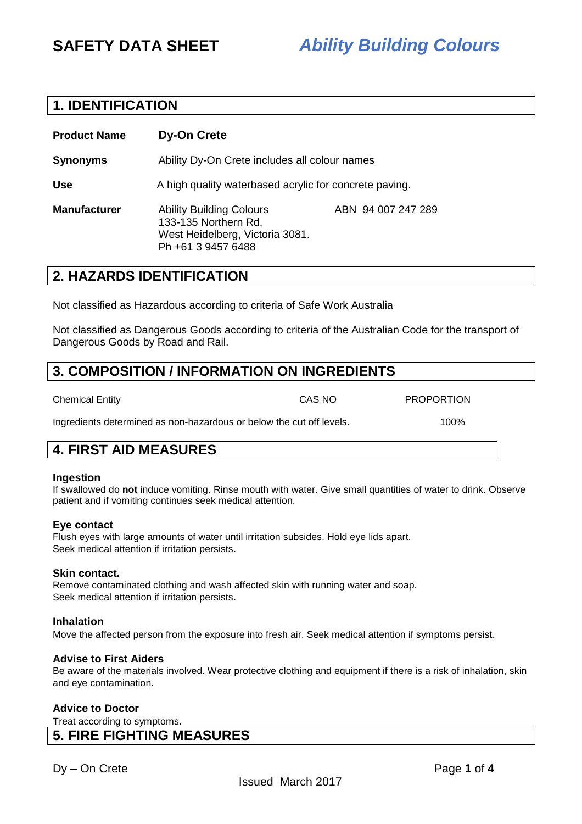## **1. IDENTIFICATION**

| <b>Product Name</b> | <b>Dy-On Crete</b>                                                                                               |                    |  |
|---------------------|------------------------------------------------------------------------------------------------------------------|--------------------|--|
| <b>Synonyms</b>     | Ability Dy-On Crete includes all colour names                                                                    |                    |  |
| <b>Use</b>          | A high quality waterbased acrylic for concrete paving.                                                           |                    |  |
| <b>Manufacturer</b> | <b>Ability Building Colours</b><br>133-135 Northern Rd,<br>West Heidelberg, Victoria 3081.<br>Ph +61 3 9457 6488 | ABN 94 007 247 289 |  |

## **2. HAZARDS IDENTIFICATION**

Not classified as Hazardous according to criteria of Safe Work Australia

Not classified as Dangerous Goods according to criteria of the Australian Code for the transport of Dangerous Goods by Road and Rail.

## **3. COMPOSITION / INFORMATION ON INGREDIENTS**

| <b>Chemical Entity</b> | CAS NO | <b>PROPORTION</b> |
|------------------------|--------|-------------------|

Ingredients determined as non-hazardous or below the cut off levels. 100%

## **4. FIRST AID MEASURES**

#### **Ingestion**

If swallowed do **not** induce vomiting. Rinse mouth with water. Give small quantities of water to drink. Observe patient and if vomiting continues seek medical attention.

#### **Eye contact**

Flush eyes with large amounts of water until irritation subsides. Hold eye lids apart. Seek medical attention if irritation persists.

### **Skin contact.**

Remove contaminated clothing and wash affected skin with running water and soap. Seek medical attention if irritation persists.

### **Inhalation**

Move the affected person from the exposure into fresh air. Seek medical attention if symptoms persist.

#### **Advise to First Aiders**

Be aware of the materials involved. Wear protective clothing and equipment if there is a risk of inhalation, skin and eye contamination.

#### **Advice to Doctor**

Treat according to symptoms.

### **5. FIRE FIGHTING MEASURES**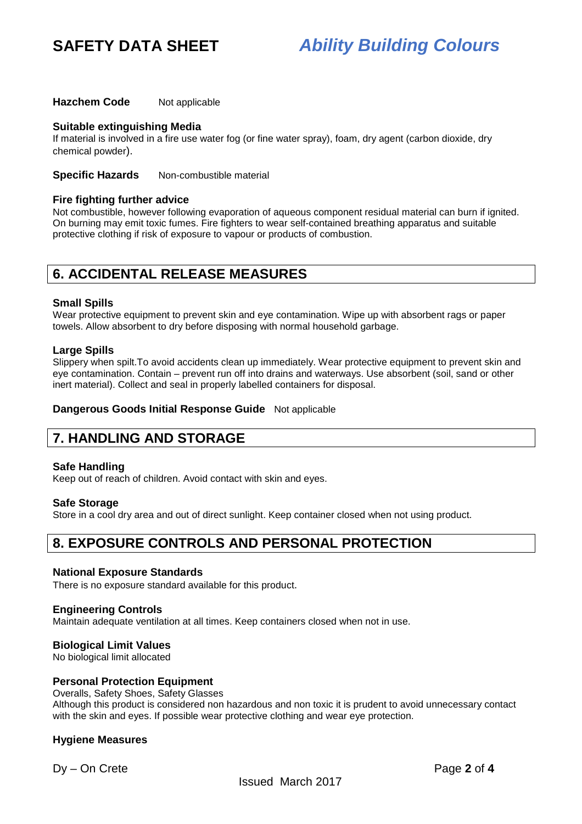**Hazchem Code** Not applicable

#### **Suitable extinguishing Media**

If material is involved in a fire use water fog (or fine water spray), foam, dry agent (carbon dioxide, dry chemical powder).

**Specific Hazards** Non-combustible material

#### **Fire fighting further advice**

Not combustible, however following evaporation of aqueous component residual material can burn if ignited. On burning may emit toxic fumes. Fire fighters to wear self-contained breathing apparatus and suitable protective clothing if risk of exposure to vapour or products of combustion.

## **6. ACCIDENTAL RELEASE MEASURES**

#### **Small Spills**

Wear protective equipment to prevent skin and eye contamination. Wipe up with absorbent rags or paper towels. Allow absorbent to dry before disposing with normal household garbage.

#### **Large Spills**

Slippery when spilt.To avoid accidents clean up immediately. Wear protective equipment to prevent skin and eye contamination. Contain – prevent run off into drains and waterways. Use absorbent (soil, sand or other inert material). Collect and seal in properly labelled containers for disposal.

**Dangerous Goods Initial Response Guide** Not applicable

## **7. HANDLING AND STORAGE**

#### **Safe Handling**

Keep out of reach of children. Avoid contact with skin and eyes.

#### **Safe Storage**

Store in a cool dry area and out of direct sunlight. Keep container closed when not using product.

## **8. EXPOSURE CONTROLS AND PERSONAL PROTECTION**

#### **National Exposure Standards**

There is no exposure standard available for this product.

#### **Engineering Controls**

Maintain adequate ventilation at all times. Keep containers closed when not in use.

#### **Biological Limit Values**

No biological limit allocated

#### **Personal Protection Equipment**

Overalls, Safety Shoes, Safety Glasses Although this product is considered non hazardous and non toxic it is prudent to avoid unnecessary contact with the skin and eyes. If possible wear protective clothing and wear eye protection.

#### **Hygiene Measures**

Dy – On Crete Page **2** of **4**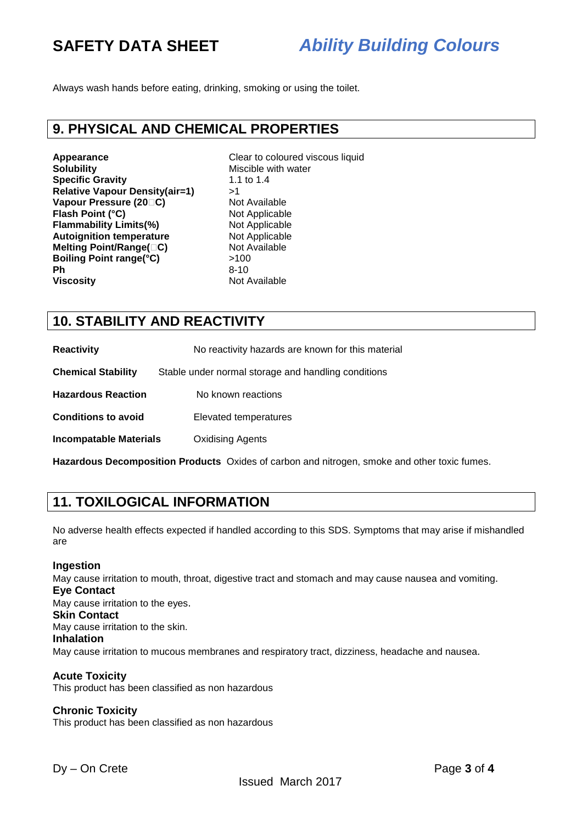Always wash hands before eating, drinking, smoking or using the toilet.

### **9. PHYSICAL AND CHEMICAL PROPERTIES**

**Appearance Clear to coloured viscous liquid Solubility**<br> **Clear to coloured viscous liquid Solubility Specific Gravity Relative Vapour Density(air=1)** >1 **Vapour Pressure (20 C)** Not Available **Flash Point (°C)** Not Applicable **Flammability Limits(%)** Not Applicable **Autoignition temperature** Not Applicable **Melting Point/Range( C)** Not Available **Boiling Point range(°C)** >100 **Ph** 8-10 **Viscosity Not Available** 

Miscible with water<br>1.1 to 1.4

## **10. STABILITY AND REACTIVITY**

| <b>Reactivity</b>             | No reactivity hazards are known for this material   |
|-------------------------------|-----------------------------------------------------|
| <b>Chemical Stability</b>     | Stable under normal storage and handling conditions |
| <b>Hazardous Reaction</b>     | No known reactions                                  |
| <b>Conditions to avoid</b>    | Elevated temperatures                               |
| <b>Incompatable Materials</b> | <b>Oxidising Agents</b>                             |

**Hazardous Decomposition Products** Oxides of carbon and nitrogen, smoke and other toxic fumes.

## **11. TOXILOGICAL INFORMATION**

No adverse health effects expected if handled according to this SDS. Symptoms that may arise if mishandled are

#### **Ingestion**

May cause irritation to mouth, throat, digestive tract and stomach and may cause nausea and vomiting. **Eye Contact**  May cause irritation to the eyes. **Skin Contact**  May cause irritation to the skin. **Inhalation**  May cause irritation to mucous membranes and respiratory tract, dizziness, headache and nausea.

#### **Acute Toxicity**

This product has been classified as non hazardous

### **Chronic Toxicity**

This product has been classified as non hazardous